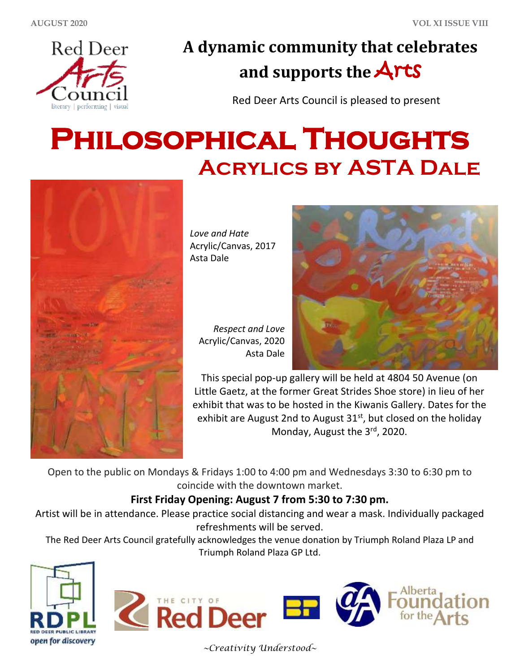

## **A dynamic community that celebrates and supports the** Arts

Red Deer Arts Council is pleased to present

# **Philosophical Thoughts Acrylics by ASTA Dale**



*Love and Hate* Acrylic/Canvas, 2017 Asta Dale

*Respect and Love* Acrylic/Canvas, 2020 Asta Dale



This special pop-up gallery will be held at 4804 50 Avenue (on Little Gaetz, at the former Great Strides Shoe store) in lieu of her exhibit that was to be hosted in the Kiwanis Gallery. Dates for the exhibit are August 2nd to August  $31<sup>st</sup>$ , but closed on the holiday Monday, August the 3rd, 2020.

Open to the public on Mondays & Fridays 1:00 to 4:00 pm and Wednesdays 3:30 to 6:30 pm to coincide with the downtown market.

#### **First Friday Opening: August 7 from 5:30 to 7:30 pm.**

Artist will be in attendance. Please practice social distancing and wear a mask. Individually packaged refreshments will be served.

The Red Deer Arts Council gratefully acknowledges the venue donation by Triumph Roland Plaza LP and Triumph Roland Plaza GP Ltd.





*~Creativity Understood~*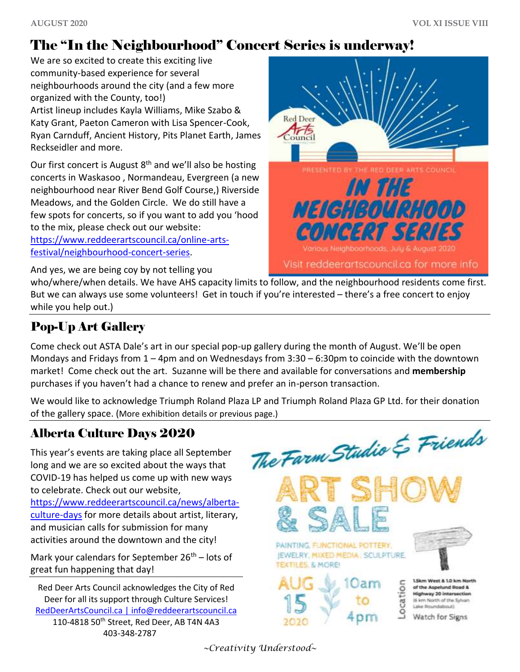### The "In the Neighbourhood" Concert Series is underway!

We are so excited to create this exciting live community-based experience for several neighbourhoods around the city (and a few more organized with the County, too!) Artist lineup includes Kayla Williams, Mike Szabo & Katy Grant, Paeton Cameron with Lisa Spencer-Cook, Ryan Carnduff, Ancient History, Pits Planet Earth, James Reckseidler and more.

Our first concert is August  $8<sup>th</sup>$  and we'll also be hosting concerts in Waskasoo , Normandeau, Evergreen (a new neighbourhood near River Bend Golf Course,) Riverside Meadows, and the Golden Circle. We do still have a few spots for concerts, so if you want to add you 'hood to the mix, please check out our website:

[https://www.reddeerartscouncil.ca/online-arts](https://www.reddeerartscouncil.ca/online-arts-festival/neighbourhood-concert-series)[festival/neighbourhood-concert-series.](https://www.reddeerartscouncil.ca/online-arts-festival/neighbourhood-concert-series)

And yes, we are being coy by not telling you



who/where/when details. We have AHS capacity limits to follow, and the neighbourhood residents come first. But we can always use some volunteers! Get in touch if you're interested – there's a free concert to enjoy while you help out.)

#### Pop-Up Art Gallery

Come check out ASTA Dale's art in our special pop-up gallery during the month of August. We'll be open Mondays and Fridays from 1 – 4pm and on Wednesdays from 3:30 – 6:30pm to coincide with the downtown market! Come check out the art. Suzanne will be there and available for conversations and **membership** purchases if you haven't had a chance to renew and prefer an in-person transaction.

We would like to acknowledge Triumph Roland Plaza LP and Triumph Roland Plaza GP Ltd. for their donation of the gallery space. (More exhibition details or previous page.)

#### Alberta Culture Days 2020

This year's events are taking place all September long and we are so excited about the ways that COVID-19 has helped us come up with new ways to celebrate. Check out our website, [https://www.reddeerartscouncil.ca/news/alberta](https://www.reddeerartscouncil.ca/news/alberta-culture-days)[culture-days](https://www.reddeerartscouncil.ca/news/alberta-culture-days) for more details about artist, literary, and musician calls for submission for many activities around the downtown and the city!

Mark your calendars for September  $26<sup>th</sup>$  – lots of great fun happening that day!

Red Deer Arts Council acknowledges the City of Red Deer for all its support through Culture Services! [RedDeerArtsCouncil.ca](http://www.reddeerartscouncil.ca/) [| info@reddeerartscouncil.ca](mailto:info@reddeerartscouncil.ca) 110-4818 50<sup>th</sup> Street, Red Deer, AB T4N 4A3 403-348-2787